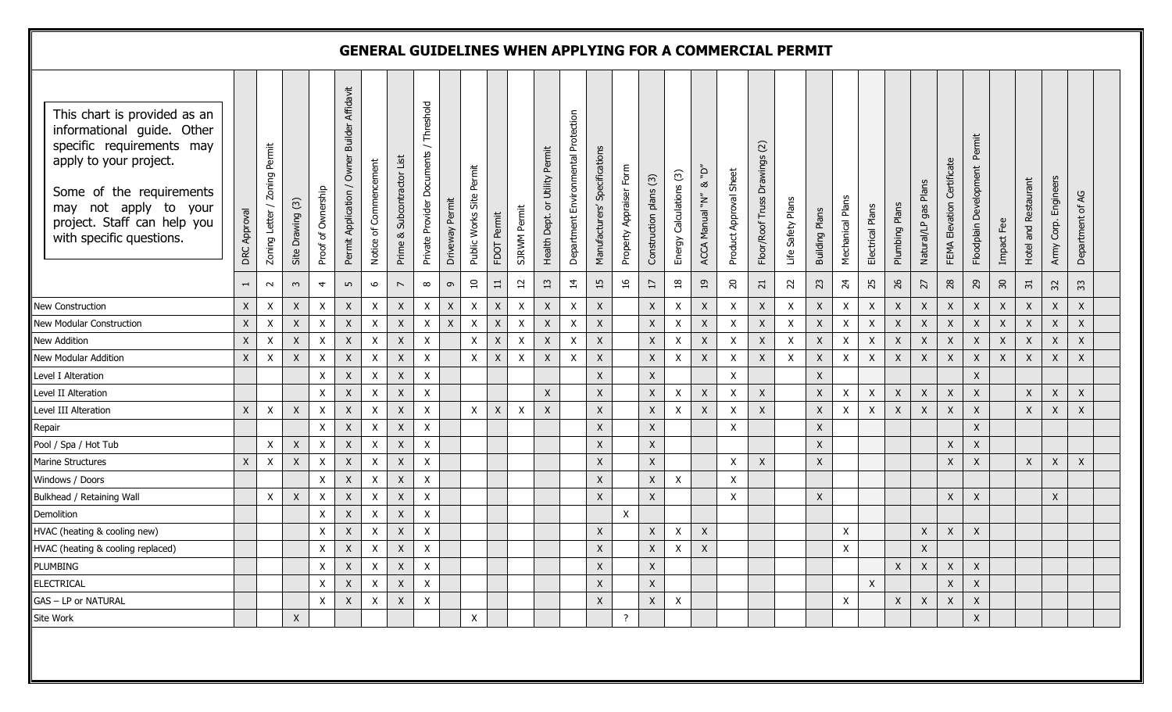| This chart is provided as an<br>informational guide. Other<br>specific requirements may<br>apply to your project.<br>Some of the requirements<br>may not apply to your<br>project. Staff can help you<br>with specific questions. | Approval<br>DRC          | Permit<br>Zoning<br>$\overline{\phantom{0}}$<br>Zoning Letter | Site Drawing (3)     | Proof of Ownership        | Affidavit<br><b>Builder</b><br>Owner<br>Permit Application | Commencement<br>Notice of | Subcontractor List<br>Prime & | Threshold<br>Private Provider Documents | Driveway Permit           | Public Works Site Permit | Permit<br>FDOT  | Permit<br><b>SJRWM</b>    | Permit<br>Utility<br>$\rm \overleftarrow{o}$<br>Health Dept. | Department Environmental Protection | Specifications<br>Manufacturers' | Property Appraiser Form | Construction plans (3) | Energy Calculations (3) | $\vec{q}$<br>$\rm \approx$<br>ACCA Manual "N" | Product Approval Sheet   | $\widetilde{\omega}$<br>Drawings<br>Floor/Roof Truss | Life Safety Plans | <b>Building Plans</b> | Mechanical Plans          | Electrical Plans | Plumbing Plans | Plans<br>gas<br>Natural/LP | Elevation Certificate<br>FEMA | Permit<br>Floodplain Development | Impact Fee       | Restaurant<br>Hotel and | Engineers<br>Army Corp.  | 5y<br>Department of |
|-----------------------------------------------------------------------------------------------------------------------------------------------------------------------------------------------------------------------------------|--------------------------|---------------------------------------------------------------|----------------------|---------------------------|------------------------------------------------------------|---------------------------|-------------------------------|-----------------------------------------|---------------------------|--------------------------|-----------------|---------------------------|--------------------------------------------------------------|-------------------------------------|----------------------------------|-------------------------|------------------------|-------------------------|-----------------------------------------------|--------------------------|------------------------------------------------------|-------------------|-----------------------|---------------------------|------------------|----------------|----------------------------|-------------------------------|----------------------------------|------------------|-------------------------|--------------------------|---------------------|
|                                                                                                                                                                                                                                   | $\overline{\phantom{0}}$ | $\sim$                                                        | $\mathbf{\tilde{z}}$ | $\overline{4}$            | LO.                                                        | 6                         | $\overline{\phantom{a}}$      | $\infty$                                | $\sigma$                  | $\overline{10}$          | $\overline{11}$ | $\overline{12}$           | $\Xi$                                                        | $\overline{4}$                      | 15                               | $\frac{91}{5}$          | $\overline{17}$        | $\frac{8}{18}$          | $_{19}$                                       | $\overline{\mathcal{L}}$ | $\overline{c}$                                       | 22                | 23                    | $\overline{24}$           | 25               | 26             | 27                         | 28                            | $^{29}$                          | 50               | $\overline{51}$         | $\overline{\mathcal{E}}$ | 33                  |
| New Construction                                                                                                                                                                                                                  | $\mathsf X$              | $\boldsymbol{\mathsf{X}}$                                     | $\mathsf X$          | X                         | $\mathsf X$                                                | $\mathsf{X}$              | $\mathsf X$                   | $\mathsf{X}$                            | X                         | $\mathsf X$              | X               | $\pmb{\mathsf{X}}$        | $\mathsf X$                                                  | $\boldsymbol{\mathsf{X}}$           | $\mathsf X$                      |                         | X                      | X                       | $\boldsymbol{X}$                              | X                        | $\mathsf X$                                          | X                 | $\pmb{\mathsf{X}}$    | $\boldsymbol{\mathsf{X}}$ | $\mathsf X$      | $\mathsf{X}$   | $\pmb{\mathsf{X}}$         | $\mathsf X$                   | $\mathsf X$                      | $\mathsf{X}$     | $\boldsymbol{X}$        | X                        | X                   |
| New Modular Construction                                                                                                                                                                                                          | $\mathsf X$              | $\boldsymbol{\mathsf{X}}$                                     | $\mathsf X$          | X                         | $\mathsf{X}$                                               | $\mathsf{X}$              | $\mathsf{X}$                  | $\mathsf X$                             | $\boldsymbol{\mathsf{X}}$ | $\mathsf X$              | X               | $\pmb{\mathsf{X}}$        | $\mathsf X$                                                  | $\pmb{\times}$                      | $\mathsf X$                      |                         | $\mathsf X$            | X                       | $\mathsf X$                                   | $\pmb{\mathsf{X}}$       | $\mathsf X$                                          | X                 | X                     | $\mathsf X$               | $\mathsf X$      | X              | $\boldsymbol{\mathsf{X}}$  | $\mathsf X$                   | $\mathsf X$                      | $\boldsymbol{X}$ | $\mathsf{X}$            | X                        | $\mathsf X$         |
| <b>New Addition</b>                                                                                                                                                                                                               | $\mathsf X$              | $\mathsf X$                                                   | $\mathsf X$          | $\pmb{\chi}$              | $\mathsf X$                                                | $\mathsf{X}$              | $\mathsf{X}$                  | X                                       |                           | $\mathsf{X}$             | X               | $\pmb{\mathsf{X}}$        | $\mathsf X$                                                  | $\pmb{\times}$                      | $\mathsf X$                      |                         | $\mathsf X$            | X                       | $\mathsf X$                                   | X                        | $\mathsf X$                                          | X                 | $\mathsf X$           | $\boldsymbol{\mathsf{X}}$ | $\mathsf X$      | $\mathsf X$    | $\pmb{\mathsf{X}}$         | $\mathsf X$                   | $\mathsf X$                      | $\mathsf{X}$     | $\boldsymbol{X}$        | X                        | $\mathsf X$         |
| New Modular Addition                                                                                                                                                                                                              | $\mathsf X$              | $\boldsymbol{\mathsf{X}}$                                     | $\mathsf X$          | X                         | $\mathsf{X}$                                               | $\boldsymbol{\mathsf{X}}$ | $\mathsf{X}$                  | X                                       |                           | $\mathsf X$              | X               | $\pmb{\mathsf{X}}$        | $\mathsf X$                                                  | $\pmb{\times}$                      | $\mathsf X$                      |                         | $\mathsf X$            | X                       | $\mathsf X$                                   | X                        | $\mathsf X$                                          | X                 | X                     | $\pmb{\times}$            | $\mathsf X$      | X              | $\pmb{\mathsf{X}}$         | $\mathsf{X}$                  | $\mathsf X$                      | $\boldsymbol{X}$ | $\mathsf{X}$            | X                        | $\pmb{\times}$      |
| Level I Alteration                                                                                                                                                                                                                |                          |                                                               |                      | $\boldsymbol{\mathsf{X}}$ | $\mathsf{X}$                                               | $\mathsf{X}$              | $\mathsf X$                   | $\pmb{\mathsf{X}}$                      |                           |                          |                 |                           |                                                              |                                     | $\mathsf X$                      |                         | $\mathsf X$            |                         |                                               | X                        |                                                      |                   | X                     |                           |                  |                |                            |                               | $\mathsf X$                      |                  |                         |                          |                     |
| Level II Alteration                                                                                                                                                                                                               |                          |                                                               |                      | $\boldsymbol{\mathsf{X}}$ | $\mathsf X$                                                | $\mathsf{X}$              | $\mathsf X$                   | $\pmb{\mathsf{X}}$                      |                           |                          |                 |                           | $\mathsf X$                                                  |                                     | $\mathsf X$                      |                         | $\mathsf X$            | X                       | $\mathsf X$                                   | X                        | $\mathsf X$                                          |                   | $\mathsf X$           | $\mathsf X$               | $\mathsf X$      | $\mathsf X$    | $\pmb{\mathsf{X}}$         | $\mathsf X$                   | $\mathsf X$                      |                  | $\mathsf{X}$            | $\mathsf X$              | $\mathsf X$         |
| Level III Alteration                                                                                                                                                                                                              | $\mathsf X$              | $\boldsymbol{\mathsf{X}}$                                     | $\mathsf X$          | $\boldsymbol{\mathsf{X}}$ | $\mathsf X$                                                | $\mathsf{X}$              | $\mathsf{X}$                  | $\pmb{\mathsf{X}}$                      |                           | $\mathsf{X}$             | $\mathsf X$     | $\boldsymbol{\mathsf{X}}$ | $\mathsf X$                                                  |                                     | $\mathsf X$                      |                         | $\mathsf X$            | X                       | $\mathsf{X}$                                  | X                        | $\mathsf X$                                          |                   | X                     | $\pmb{\mathsf{X}}$        | $\mathsf X$      | $\mathsf X$    | X                          | $\mathsf X$                   | $\mathsf X$                      |                  | $\mathsf{X}$            | X                        | $\mathsf X$         |
| Repair                                                                                                                                                                                                                            |                          |                                                               |                      | $\pmb{\chi}$              | $\boldsymbol{X}$                                           | $\boldsymbol{\mathsf{X}}$ | $\mathsf X$                   | $\mathsf X$                             |                           |                          |                 |                           |                                                              |                                     | $\mathsf X$                      |                         | $\mathsf X$            |                         |                                               | $\pmb{\mathsf{X}}$       |                                                      |                   | X                     |                           |                  |                |                            |                               | $\mathsf X$                      |                  |                         |                          |                     |
| Pool / Spa / Hot Tub                                                                                                                                                                                                              |                          | X                                                             | $\mathsf X$          | $\pmb{\chi}$              | $\mathsf X$                                                | X                         | $\mathsf{X}$                  | $\pmb{\mathsf{X}}$                      |                           |                          |                 |                           |                                                              |                                     | $\mathsf X$                      |                         | $\mathsf X$            |                         |                                               |                          |                                                      |                   | X                     |                           |                  |                |                            | $\mathsf X$                   | $\mathsf X$                      |                  |                         |                          |                     |
| Marine Structures                                                                                                                                                                                                                 | $\mathsf X$              | $\boldsymbol{\mathsf{X}}$                                     | $\mathsf X$          | $\pmb{\chi}$              | $\mathsf X$                                                | $\mathsf{X}$              | $\mathsf X$                   | $\mathsf X$                             |                           |                          |                 |                           |                                                              |                                     | $\mathsf X$                      |                         | $\mathsf X$            |                         |                                               | $\pmb{\mathsf{X}}$       | $\mathsf X$                                          |                   | $\mathsf X$           |                           |                  |                |                            | $\mathsf X$                   | $\boldsymbol{X}$                 |                  | $\mathsf{X}$            | $\boldsymbol{X}$         | $\mathsf X$         |
| Windows / Doors                                                                                                                                                                                                                   |                          |                                                               |                      | $\mathsf{X}$              | $\boldsymbol{X}$                                           | $\mathsf{X}$              | $\boldsymbol{X}$              | $\pmb{\mathsf{X}}$                      |                           |                          |                 |                           |                                                              |                                     | $\mathsf X$                      |                         | $\mathsf X$            | X                       |                                               | X                        |                                                      |                   |                       |                           |                  |                |                            |                               |                                  |                  |                         |                          |                     |
| Bulkhead / Retaining Wall                                                                                                                                                                                                         |                          | $\pmb{\mathsf{X}}$                                            | $\mathsf X$          | $\boldsymbol{\mathsf{X}}$ | $\mathsf X$                                                | X                         | $\mathsf X$                   | X                                       |                           |                          |                 |                           |                                                              |                                     | $\mathsf X$                      |                         | $\mathsf X$            |                         |                                               | X                        |                                                      |                   | X                     |                           |                  |                |                            | $\mathsf X$                   | $\mathsf X$                      |                  |                         | X                        |                     |
| Demolition                                                                                                                                                                                                                        |                          |                                                               |                      | X                         | $\boldsymbol{X}$                                           | X                         | $\mathsf{X}$                  | X                                       |                           |                          |                 |                           |                                                              |                                     |                                  | $\mathsf{X}$            |                        |                         |                                               |                          |                                                      |                   |                       |                           |                  |                |                            |                               |                                  |                  |                         |                          |                     |
| HVAC (heating & cooling new)                                                                                                                                                                                                      |                          |                                                               |                      | X                         | $\boldsymbol{X}$                                           | X                         | $\mathsf X$                   | X                                       |                           |                          |                 |                           |                                                              |                                     | $\mathsf X$                      |                         | $\mathsf X$            | X                       | $\mathsf X$                                   |                          |                                                      |                   |                       | $\boldsymbol{X}$          |                  |                | X                          | $\mathsf{X}$                  | $\mathsf X$                      |                  |                         |                          |                     |
| HVAC (heating & cooling replaced)                                                                                                                                                                                                 |                          |                                                               |                      | X                         | $\mathsf{X}$                                               | X                         | X                             | X                                       |                           |                          |                 |                           |                                                              |                                     | $\mathsf{X}$                     |                         | X                      | X                       | $\mathsf{X}$                                  |                          |                                                      |                   |                       | Χ                         |                  |                | X                          |                               |                                  |                  |                         |                          |                     |
| <b>PLUMBING</b>                                                                                                                                                                                                                   |                          |                                                               |                      | $\mathsf X$               | $\bar{\mathsf{X}}$                                         | $\mathsf X$               | $\mathsf X$                   | $\mathsf X$                             |                           |                          |                 |                           |                                                              |                                     | $\bar{\mathsf{X}}$               |                         | $\mathsf X$            |                         |                                               |                          |                                                      |                   |                       |                           |                  | $\mathsf X$    | $\mathsf X$                | $\mathsf X$                   | $\mathsf X$                      |                  |                         |                          |                     |
| ELECTRICAL                                                                                                                                                                                                                        |                          |                                                               |                      | X                         | $\mathsf{X}$                                               | $\mathsf{X}$              | $\mathsf{X}$                  | $\mathsf{X}$                            |                           |                          |                 |                           |                                                              |                                     | $\mathsf X$                      |                         | $\mathsf X$            |                         |                                               |                          |                                                      |                   |                       |                           | X                |                |                            | $\mathsf X$                   | $\mathsf X$                      |                  |                         |                          |                     |
| GAS - LP or NATURAL                                                                                                                                                                                                               |                          |                                                               |                      | $\pmb{\chi}$              | $\mathsf X$                                                | $\mathsf{X}$              | $\mathsf X$                   | X                                       |                           |                          |                 |                           |                                                              |                                     | $\mathsf X$                      |                         | $\mathsf X$            | X                       |                                               |                          |                                                      |                   |                       | $\pmb{\mathsf{X}}$        |                  | $\mathsf X$    | $\mathsf X$                | $\mathsf{X}$                  | $\mathsf X$                      |                  |                         |                          |                     |
| Site Work                                                                                                                                                                                                                         |                          |                                                               | X                    |                           |                                                            |                           |                               |                                         |                           | X                        |                 |                           |                                                              |                                     |                                  | $\cdot$                 |                        |                         |                                               |                          |                                                      |                   |                       |                           |                  |                |                            |                               | $\mathsf X$                      |                  |                         |                          |                     |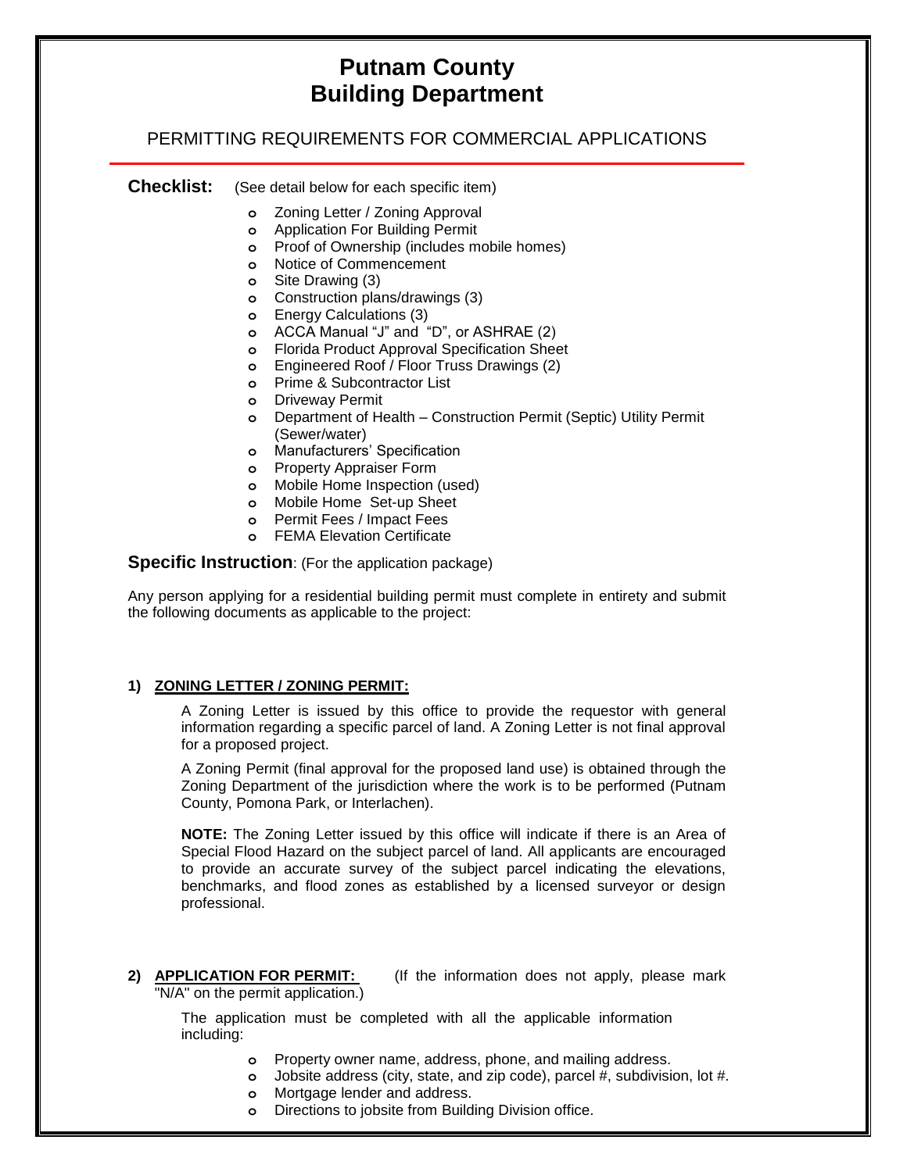# **Putnam County Building Department**

## PERMITTING REQUIREMENTS FOR COMMERCIAL APPLICATIONS

**Checklist:** (See detail below for each specific item)

- **o** Zoning Letter / Zoning Approval
- **o** Application For Building Permit
- **o** Proof of Ownership (includes mobile homes)
- **o** Notice of Commencement
- **o** Site Drawing (3)
- **o** Construction plans/drawings (3)
- **o** Energy Calculations (3)
- **o** ACCA Manual "J" and "D", or ASHRAE (2)
- **o** Florida Product Approval Specification Sheet
- **o** Engineered Roof / Floor Truss Drawings (2)
- **o** Prime & Subcontractor List
- **o** Driveway Permit
- **o** Department of Health Construction Permit (Septic) Utility Permit (Sewer/water)
- **o** Manufacturers' Specification
- **o** Property Appraiser Form
- **o** Mobile Home Inspection (used)
- **o** Mobile Home Set-up Sheet
- **o** Permit Fees / Impact Fees
- **o** FEMA Elevation Certificate

**Specific Instruction**: (For the application package)

Any person applying for a residential building permit must complete in entirety and submit the following documents as applicable to the project:

#### **1) ZONING LETTER / ZONING PERMIT:**

A Zoning Letter is issued by this office to provide the requestor with general information regarding a specific parcel of land. A Zoning Letter is not final approval for a proposed project.

A Zoning Permit (final approval for the proposed land use) is obtained through the Zoning Department of the jurisdiction where the work is to be performed (Putnam County, Pomona Park, or Interlachen).

**NOTE:** The Zoning Letter issued by this office will indicate if there is an Area of Special Flood Hazard on the subject parcel of land. All applicants are encouraged to provide an accurate survey of the subject parcel indicating the elevations, benchmarks, and flood zones as established by a licensed surveyor or design professional.

**2) APPLICATION FOR PERMIT:** (If the information does not apply, please mark "N/A" on the permit application.)

The application must be completed with all the applicable information including:

- **o** Property owner name, address, phone, and mailing address.
- **o** Jobsite address (city, state, and zip code), parcel #, subdivision, lot #.
- **o** Mortgage lender and address.
- **o** Directions to jobsite from Building Division office.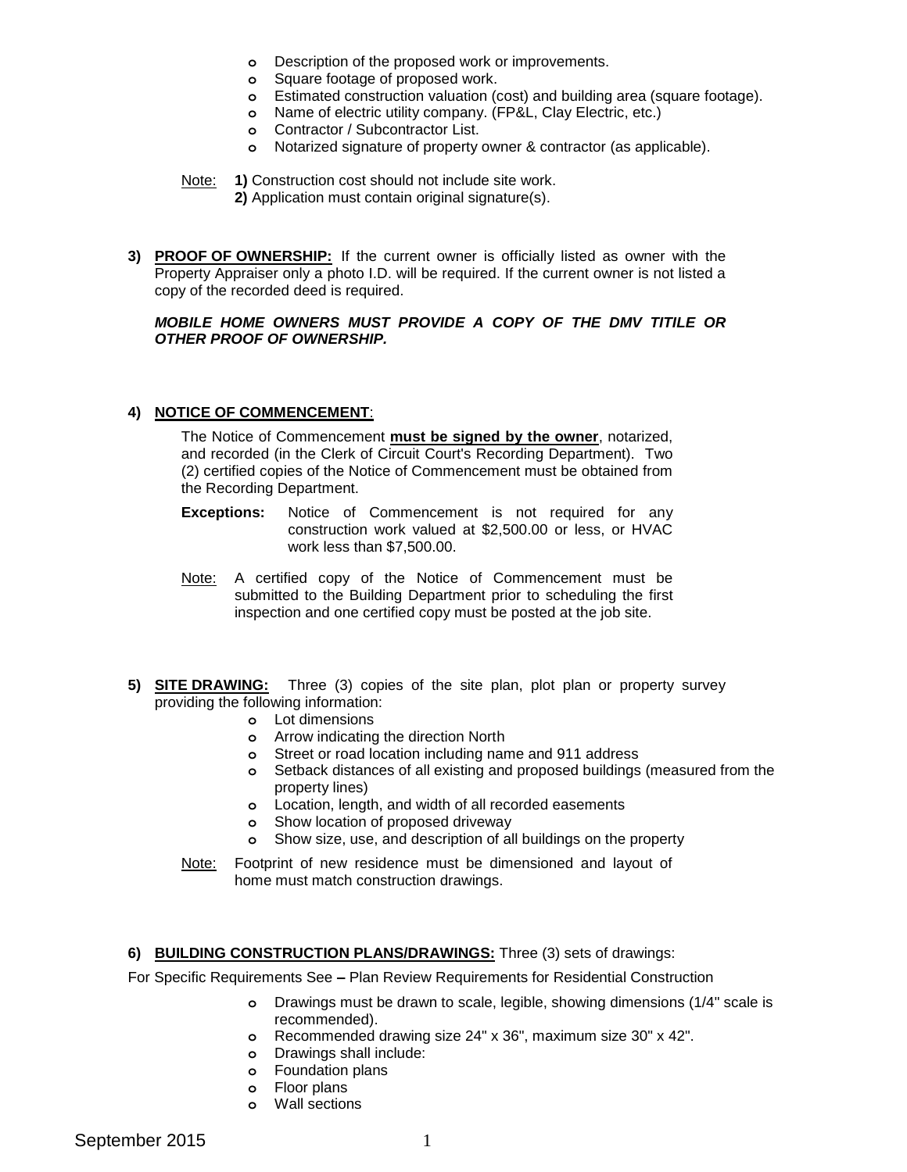- **o** Description of the proposed work or improvements.
- **o** Square footage of proposed work.
- **o** Estimated construction valuation (cost) and building area (square footage).
- **o** Name of electric utility company. (FP&L, Clay Electric, etc.)
- **o** Contractor / Subcontractor List.
- **o** Notarized signature of property owner & contractor (as applicable).

Note: **1)** Construction cost should not include site work.

- **2)** Application must contain original signature(s).
- **3) PROOF OF OWNERSHIP:** If the current owner is officially listed as owner with the Property Appraiser only a photo I.D. will be required. If the current owner is not listed a copy of the recorded deed is required.

#### *MOBILE HOME OWNERS MUST PROVIDE A COPY OF THE DMV TITILE OR OTHER PROOF OF OWNERSHIP.*

### **4) NOTICE OF COMMENCEMENT**:

The Notice of Commencement **must be signed by the owner**, notarized, and recorded (in the Clerk of Circuit Court's Recording Department). Two (2) certified copies of the Notice of Commencement must be obtained from the Recording Department.

- **Exceptions:** Notice of Commencement is not required for any construction work valued at \$2,500.00 or less, or HVAC work less than \$7,500.00.
- Note: A certified copy of the Notice of Commencement must be submitted to the Building Department prior to scheduling the first inspection and one certified copy must be posted at the job site.
- **5) SITE DRAWING:** Three (3) copies of the site plan, plot plan or property survey providing the following information:
	- **o** Lot dimensions
	- **o** Arrow indicating the direction North
	- **o** Street or road location including name and 911 address
	- **o** Setback distances of all existing and proposed buildings (measured from the property lines)
	- **o** Location, length, and width of all recorded easements
	- **o** Show location of proposed driveway
	- **o** Show size, use, and description of all buildings on the property
	- Note: Footprint of new residence must be dimensioned and layout of home must match construction drawings.

## **6) BUILDING CONSTRUCTION PLANS/DRAWINGS:** Three (3) sets of drawings:

For Specific Requirements See **–** Plan Review Requirements for Residential Construction

- **o** Drawings must be drawn to scale, legible, showing dimensions (1/4" scale is recommended).
- **o** Recommended drawing size 24" x 36", maximum size 30" x 42".
- **o** Drawings shall include:
- **o** Foundation plans
- **o** Floor plans
- **o** Wall sections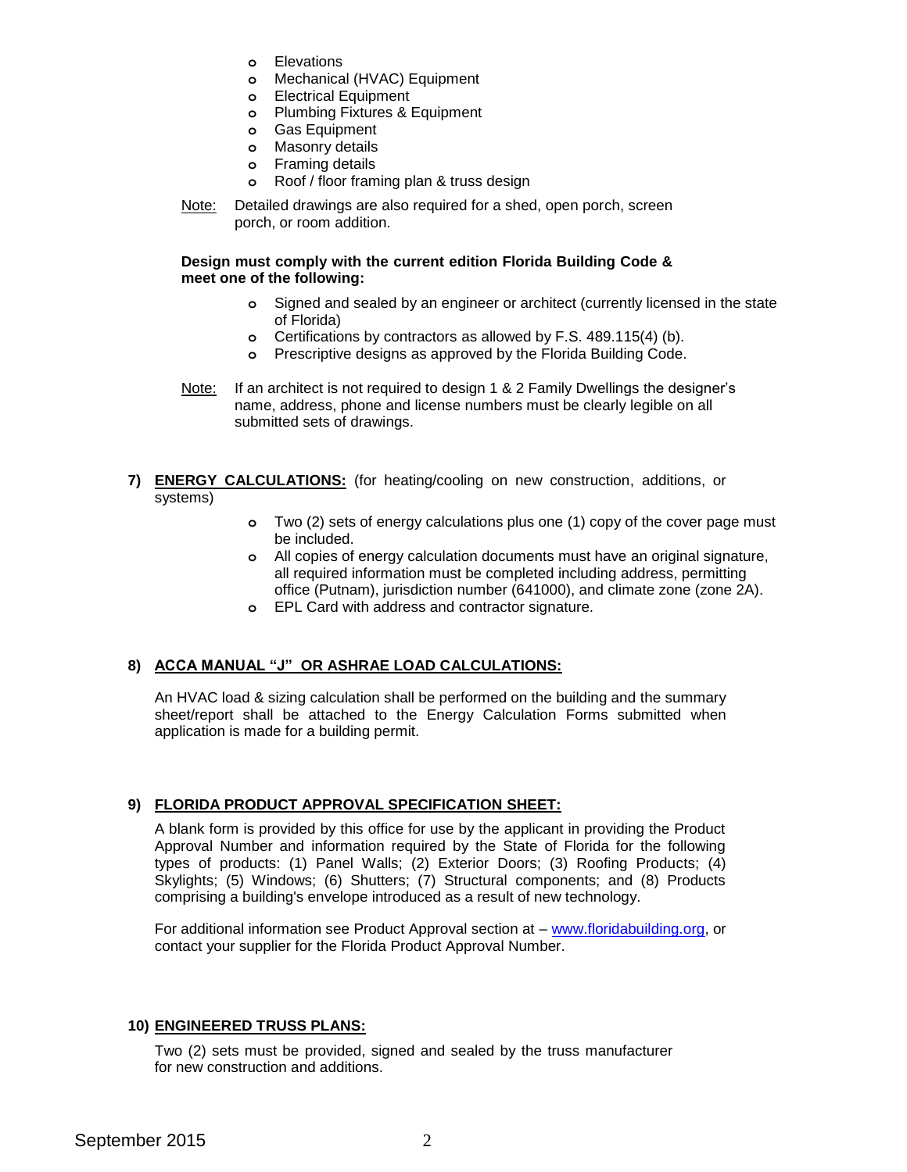- **o** Elevations
- **o** Mechanical (HVAC) Equipment
- **o** Electrical Equipment
- **o** Plumbing Fixtures & Equipment
- **o** Gas Equipment
- **o** Masonry details
- **o** Framing details
- **o** Roof / floor framing plan & truss design
- Note: Detailed drawings are also required for a shed, open porch, screen porch, or room addition.

## **Design must comply with the current edition Florida Building Code & meet one of the following:**

- **o** Signed and sealed by an engineer or architect (currently licensed in the state of Florida)
- **o** Certifications by contractors as allowed by F.S. 489.115(4) (b).
- **o** Prescriptive designs as approved by the Florida Building Code.
- Note: If an architect is not required to design 1 & 2 Family Dwellings the designer's name, address, phone and license numbers must be clearly legible on all submitted sets of drawings.
- **7) ENERGY CALCULATIONS:** (for heating/cooling on new construction, additions, or systems)
	- **o** Two (2) sets of energy calculations plus one (1) copy of the cover page must be included.
	- **o** All copies of energy calculation documents must have an original signature, all required information must be completed including address, permitting office (Putnam), jurisdiction number (641000), and climate zone (zone 2A).
	- **o** EPL Card with address and contractor signature.

## **8) ACCA MANUAL "J" OR ASHRAE LOAD CALCULATIONS:**

An HVAC load & sizing calculation shall be performed on the building and the summary sheet/report shall be attached to the Energy Calculation Forms submitted when application is made for a building permit.

## **9) FLORIDA PRODUCT APPROVAL SPECIFICATION SHEET:**

A blank form is provided by this office for use by the applicant in providing the Product Approval Number and information required by the State of Florida for the following types of products: (1) Panel Walls; (2) Exterior Doors; (3) Roofing Products; (4) Skylights; (5) Windows; (6) Shutters; (7) Structural components; and (8) Products comprising a building's envelope introduced as a result of new technology.

For additional information see Product Approval section at – [www.floridabuilding.org,](http://www.floridabuilding.org/) or contact your supplier for the Florida Product Approval Number.

## **10) ENGINEERED TRUSS PLANS:**

Two (2) sets must be provided, signed and sealed by the truss manufacturer for new construction and additions.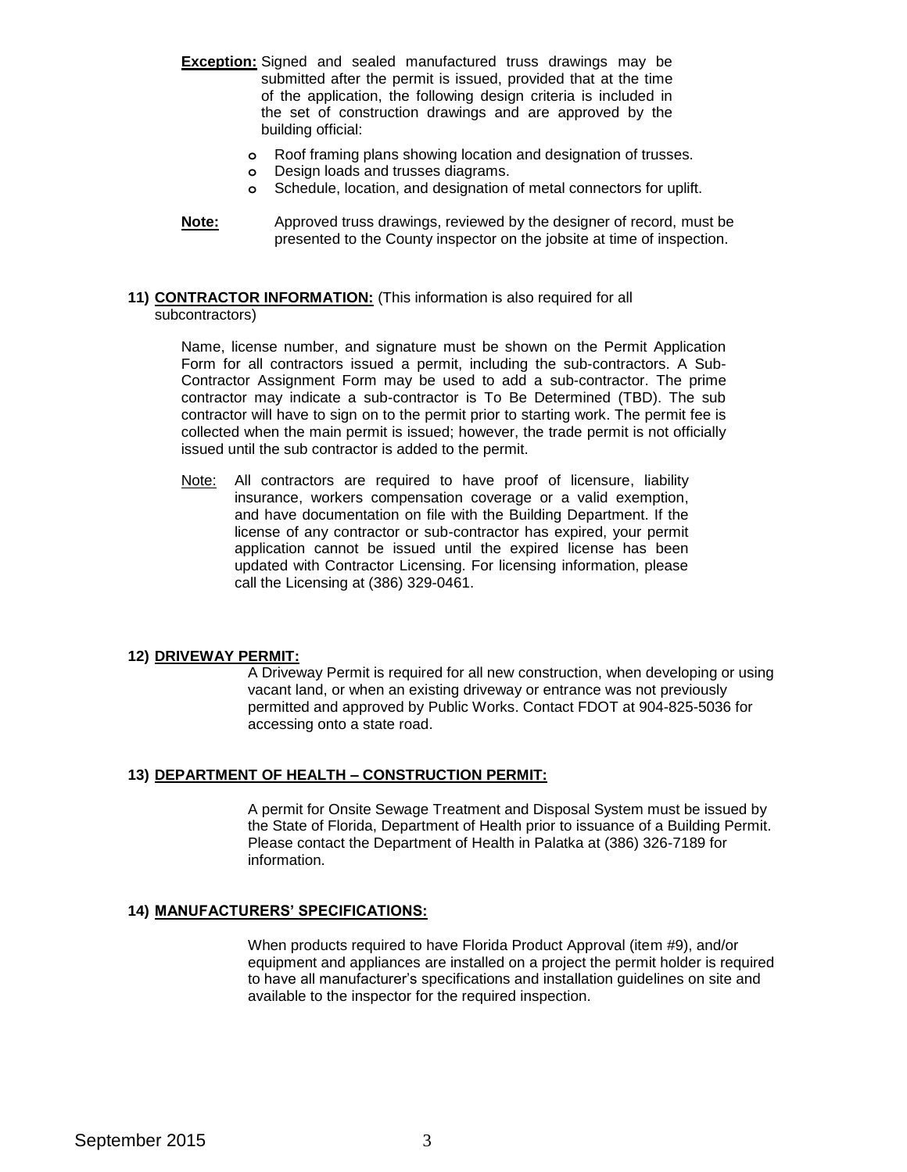- **Exception:** Signed and sealed manufactured truss drawings may be submitted after the permit is issued, provided that at the time of the application, the following design criteria is included in the set of construction drawings and are approved by the building official:
	- **o** Roof framing plans showing location and designation of trusses.
	- **o** Design loads and trusses diagrams.
	- **o** Schedule, location, and designation of metal connectors for uplift.
- **Note:** Approved truss drawings, reviewed by the designer of record, must be presented to the County inspector on the jobsite at time of inspection.

#### **11) CONTRACTOR INFORMATION:** (This information is also required for all subcontractors)

Name, license number, and signature must be shown on the Permit Application Form for all contractors issued a permit, including the sub-contractors. A Sub-Contractor Assignment Form may be used to add a sub-contractor. The prime contractor may indicate a sub-contractor is To Be Determined (TBD). The sub contractor will have to sign on to the permit prior to starting work. The permit fee is collected when the main permit is issued; however, the trade permit is not officially issued until the sub contractor is added to the permit.

Note: All contractors are required to have proof of licensure, liability insurance, workers compensation coverage or a valid exemption, and have documentation on file with the Building Department. If the license of any contractor or sub-contractor has expired, your permit application cannot be issued until the expired license has been updated with Contractor Licensing. For licensing information, please call the Licensing at (386) 329-0461.

## **12) DRIVEWAY PERMIT:**

A Driveway Permit is required for all new construction, when developing or using vacant land, or when an existing driveway or entrance was not previously permitted and approved by Public Works. Contact FDOT at 904-825-5036 for accessing onto a state road.

## **13) DEPARTMENT OF HEALTH – CONSTRUCTION PERMIT:**

A permit for Onsite Sewage Treatment and Disposal System must be issued by the State of Florida, Department of Health prior to issuance of a Building Permit. Please contact the Department of Health in Palatka at (386) 326-7189 for information.

## **14) MANUFACTURERS' SPECIFICATIONS:**

When products required to have Florida Product Approval (item #9), and/or equipment and appliances are installed on a project the permit holder is required to have all manufacturer's specifications and installation guidelines on site and available to the inspector for the required inspection.